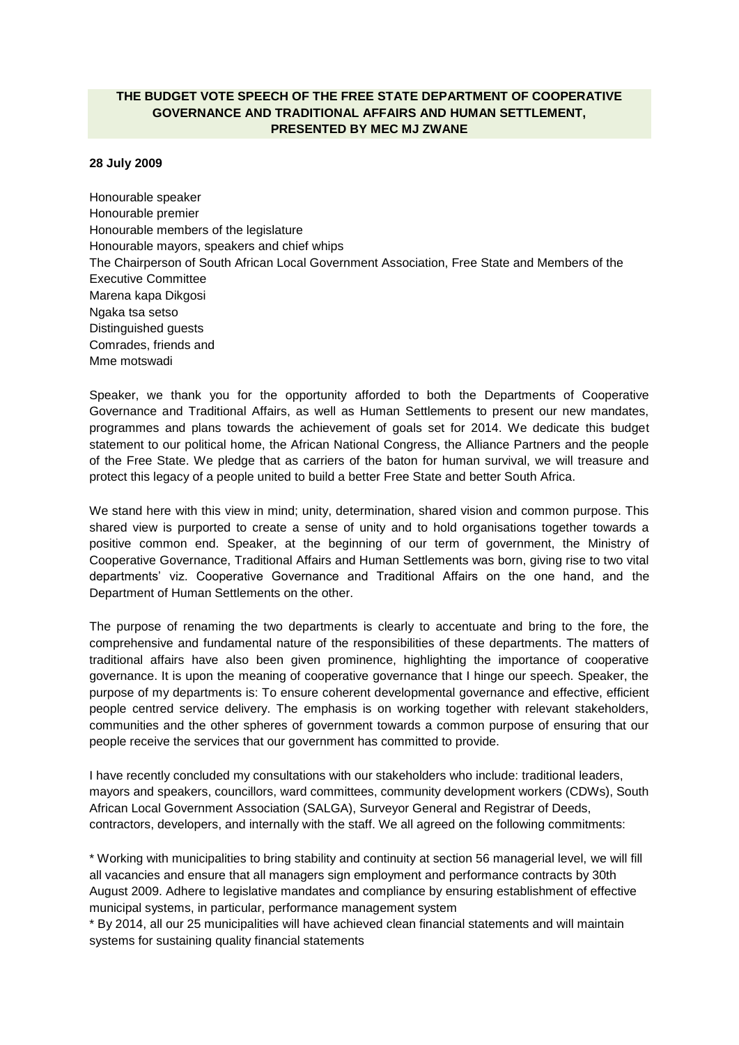# **THE BUDGET VOTE SPEECH OF THE FREE STATE DEPARTMENT OF COOPERATIVE GOVERNANCE AND TRADITIONAL AFFAIRS AND HUMAN SETTLEMENT, PRESENTED BY MEC MJ ZWANE**

#### **28 July 2009**

Honourable speaker Honourable premier Honourable members of the legislature Honourable mayors, speakers and chief whips The Chairperson of South African Local Government Association, Free State and Members of the Executive Committee Marena kapa Dikgosi Ngaka tsa setso Distinguished guests Comrades, friends and Mme motswadi

Speaker, we thank you for the opportunity afforded to both the Departments of Cooperative Governance and Traditional Affairs, as well as Human Settlements to present our new mandates, programmes and plans towards the achievement of goals set for 2014. We dedicate this budget statement to our political home, the African National Congress, the Alliance Partners and the people of the Free State. We pledge that as carriers of the baton for human survival, we will treasure and protect this legacy of a people united to build a better Free State and better South Africa.

We stand here with this view in mind; unity, determination, shared vision and common purpose. This shared view is purported to create a sense of unity and to hold organisations together towards a positive common end. Speaker, at the beginning of our term of government, the Ministry of Cooperative Governance, Traditional Affairs and Human Settlements was born, giving rise to two vital departments" viz. Cooperative Governance and Traditional Affairs on the one hand, and the Department of Human Settlements on the other.

The purpose of renaming the two departments is clearly to accentuate and bring to the fore, the comprehensive and fundamental nature of the responsibilities of these departments. The matters of traditional affairs have also been given prominence, highlighting the importance of cooperative governance. It is upon the meaning of cooperative governance that I hinge our speech. Speaker, the purpose of my departments is: To ensure coherent developmental governance and effective, efficient people centred service delivery. The emphasis is on working together with relevant stakeholders, communities and the other spheres of government towards a common purpose of ensuring that our people receive the services that our government has committed to provide.

I have recently concluded my consultations with our stakeholders who include: traditional leaders, mayors and speakers, councillors, ward committees, community development workers (CDWs), South African Local Government Association (SALGA), Surveyor General and Registrar of Deeds, contractors, developers, and internally with the staff. We all agreed on the following commitments:

\* Working with municipalities to bring stability and continuity at section 56 managerial level, we will fill all vacancies and ensure that all managers sign employment and performance contracts by 30th August 2009. Adhere to legislative mandates and compliance by ensuring establishment of effective municipal systems, in particular, performance management system

\* By 2014, all our 25 municipalities will have achieved clean financial statements and will maintain systems for sustaining quality financial statements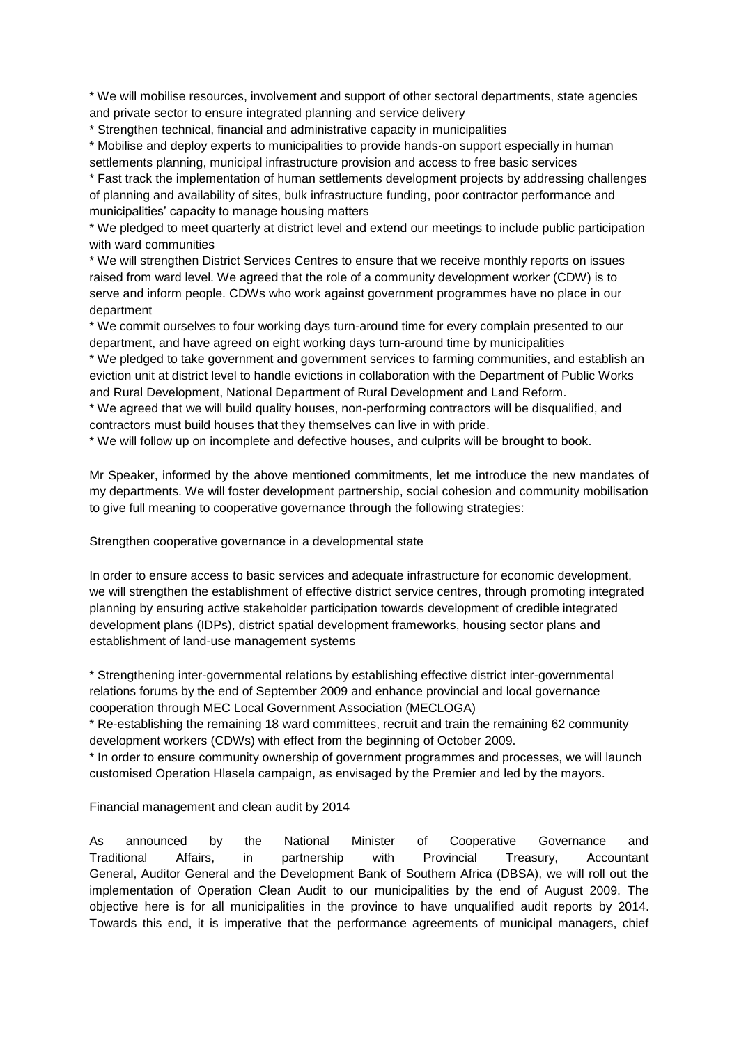\* We will mobilise resources, involvement and support of other sectoral departments, state agencies and private sector to ensure integrated planning and service delivery

\* Strengthen technical, financial and administrative capacity in municipalities

\* Mobilise and deploy experts to municipalities to provide hands-on support especially in human settlements planning, municipal infrastructure provision and access to free basic services

\* Fast track the implementation of human settlements development projects by addressing challenges of planning and availability of sites, bulk infrastructure funding, poor contractor performance and municipalities" capacity to manage housing matters

\* We pledged to meet quarterly at district level and extend our meetings to include public participation with ward communities

\* We will strengthen District Services Centres to ensure that we receive monthly reports on issues raised from ward level. We agreed that the role of a community development worker (CDW) is to serve and inform people. CDWs who work against government programmes have no place in our department

\* We commit ourselves to four working days turn-around time for every complain presented to our department, and have agreed on eight working days turn-around time by municipalities

\* We pledged to take government and government services to farming communities, and establish an eviction unit at district level to handle evictions in collaboration with the Department of Public Works and Rural Development, National Department of Rural Development and Land Reform.

\* We agreed that we will build quality houses, non-performing contractors will be disqualified, and contractors must build houses that they themselves can live in with pride.

\* We will follow up on incomplete and defective houses, and culprits will be brought to book.

Mr Speaker, informed by the above mentioned commitments, let me introduce the new mandates of my departments. We will foster development partnership, social cohesion and community mobilisation to give full meaning to cooperative governance through the following strategies:

Strengthen cooperative governance in a developmental state

In order to ensure access to basic services and adequate infrastructure for economic development, we will strengthen the establishment of effective district service centres, through promoting integrated planning by ensuring active stakeholder participation towards development of credible integrated development plans (IDPs), district spatial development frameworks, housing sector plans and establishment of land-use management systems

\* Strengthening inter-governmental relations by establishing effective district inter-governmental relations forums by the end of September 2009 and enhance provincial and local governance cooperation through MEC Local Government Association (MECLOGA)

\* Re-establishing the remaining 18 ward committees, recruit and train the remaining 62 community development workers (CDWs) with effect from the beginning of October 2009.

\* In order to ensure community ownership of government programmes and processes, we will launch customised Operation Hlasela campaign, as envisaged by the Premier and led by the mayors.

Financial management and clean audit by 2014

As announced by the National Minister of Cooperative Governance and Traditional Affairs, in partnership with Provincial Treasury, Accountant General, Auditor General and the Development Bank of Southern Africa (DBSA), we will roll out the implementation of Operation Clean Audit to our municipalities by the end of August 2009. The objective here is for all municipalities in the province to have unqualified audit reports by 2014. Towards this end, it is imperative that the performance agreements of municipal managers, chief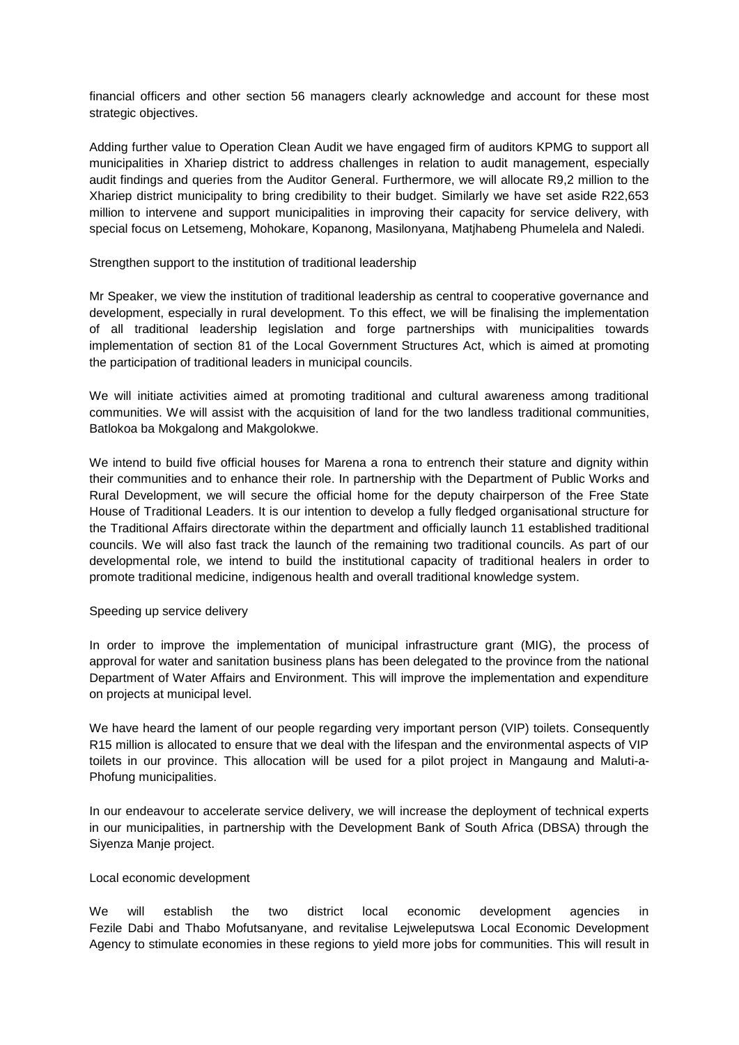financial officers and other section 56 managers clearly acknowledge and account for these most strategic objectives.

Adding further value to Operation Clean Audit we have engaged firm of auditors KPMG to support all municipalities in Xhariep district to address challenges in relation to audit management, especially audit findings and queries from the Auditor General. Furthermore, we will allocate R9,2 million to the Xhariep district municipality to bring credibility to their budget. Similarly we have set aside R22,653 million to intervene and support municipalities in improving their capacity for service delivery, with special focus on Letsemeng, Mohokare, Kopanong, Masilonyana, Matjhabeng Phumelela and Naledi.

### Strengthen support to the institution of traditional leadership

Mr Speaker, we view the institution of traditional leadership as central to cooperative governance and development, especially in rural development. To this effect, we will be finalising the implementation of all traditional leadership legislation and forge partnerships with municipalities towards implementation of section 81 of the Local Government Structures Act, which is aimed at promoting the participation of traditional leaders in municipal councils.

We will initiate activities aimed at promoting traditional and cultural awareness among traditional communities. We will assist with the acquisition of land for the two landless traditional communities, Batlokoa ba Mokgalong and Makgolokwe.

We intend to build five official houses for Marena a rona to entrench their stature and dignity within their communities and to enhance their role. In partnership with the Department of Public Works and Rural Development, we will secure the official home for the deputy chairperson of the Free State House of Traditional Leaders. It is our intention to develop a fully fledged organisational structure for the Traditional Affairs directorate within the department and officially launch 11 established traditional councils. We will also fast track the launch of the remaining two traditional councils. As part of our developmental role, we intend to build the institutional capacity of traditional healers in order to promote traditional medicine, indigenous health and overall traditional knowledge system.

## Speeding up service delivery

In order to improve the implementation of municipal infrastructure grant (MIG), the process of approval for water and sanitation business plans has been delegated to the province from the national Department of Water Affairs and Environment. This will improve the implementation and expenditure on projects at municipal level.

We have heard the lament of our people regarding very important person (VIP) toilets. Consequently R15 million is allocated to ensure that we deal with the lifespan and the environmental aspects of VIP toilets in our province. This allocation will be used for a pilot project in Mangaung and Maluti-a-Phofung municipalities.

In our endeavour to accelerate service delivery, we will increase the deployment of technical experts in our municipalities, in partnership with the Development Bank of South Africa (DBSA) through the Siyenza Manje project.

#### Local economic development

We will establish the two district local economic development agencies in Fezile Dabi and Thabo Mofutsanyane, and revitalise Lejweleputswa Local Economic Development Agency to stimulate economies in these regions to yield more jobs for communities. This will result in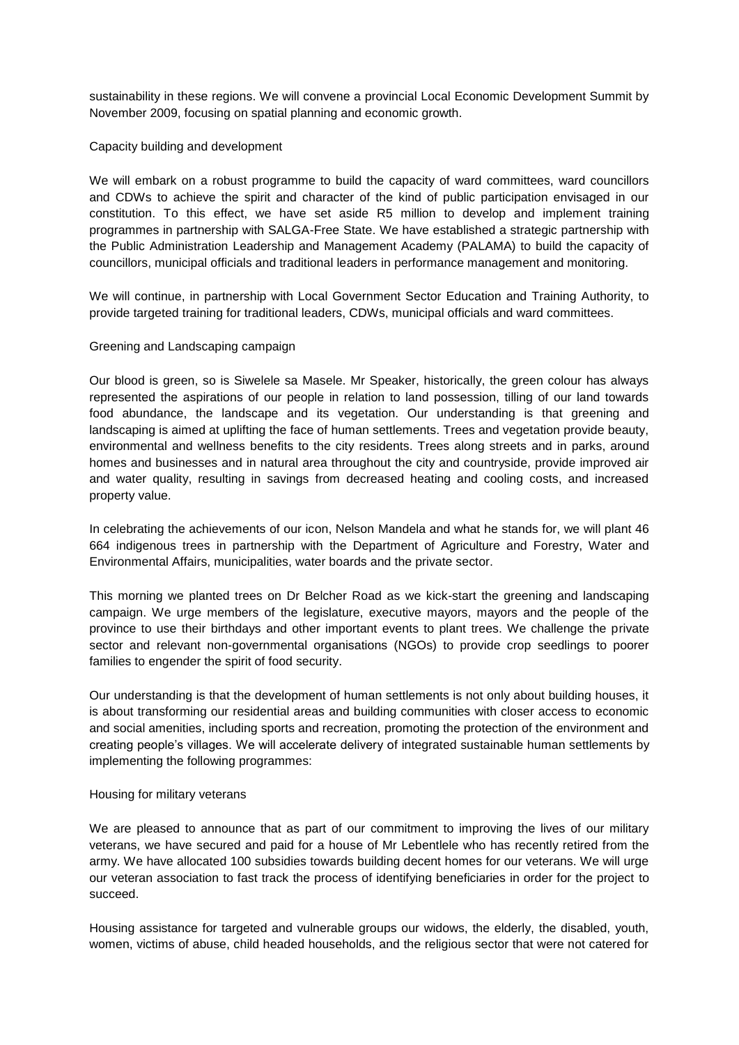sustainability in these regions. We will convene a provincial Local Economic Development Summit by November 2009, focusing on spatial planning and economic growth.

### Capacity building and development

We will embark on a robust programme to build the capacity of ward committees, ward councillors and CDWs to achieve the spirit and character of the kind of public participation envisaged in our constitution. To this effect, we have set aside R5 million to develop and implement training programmes in partnership with SALGA-Free State. We have established a strategic partnership with the Public Administration Leadership and Management Academy (PALAMA) to build the capacity of councillors, municipal officials and traditional leaders in performance management and monitoring.

We will continue, in partnership with Local Government Sector Education and Training Authority, to provide targeted training for traditional leaders, CDWs, municipal officials and ward committees.

#### Greening and Landscaping campaign

Our blood is green, so is Siwelele sa Masele. Mr Speaker, historically, the green colour has always represented the aspirations of our people in relation to land possession, tilling of our land towards food abundance, the landscape and its vegetation. Our understanding is that greening and landscaping is aimed at uplifting the face of human settlements. Trees and vegetation provide beauty, environmental and wellness benefits to the city residents. Trees along streets and in parks, around homes and businesses and in natural area throughout the city and countryside, provide improved air and water quality, resulting in savings from decreased heating and cooling costs, and increased property value.

In celebrating the achievements of our icon, Nelson Mandela and what he stands for, we will plant 46 664 indigenous trees in partnership with the Department of Agriculture and Forestry, Water and Environmental Affairs, municipalities, water boards and the private sector.

This morning we planted trees on Dr Belcher Road as we kick-start the greening and landscaping campaign. We urge members of the legislature, executive mayors, mayors and the people of the province to use their birthdays and other important events to plant trees. We challenge the private sector and relevant non-governmental organisations (NGOs) to provide crop seedlings to poorer families to engender the spirit of food security.

Our understanding is that the development of human settlements is not only about building houses, it is about transforming our residential areas and building communities with closer access to economic and social amenities, including sports and recreation, promoting the protection of the environment and creating people"s villages. We will accelerate delivery of integrated sustainable human settlements by implementing the following programmes:

#### Housing for military veterans

We are pleased to announce that as part of our commitment to improving the lives of our military veterans, we have secured and paid for a house of Mr Lebentlele who has recently retired from the army. We have allocated 100 subsidies towards building decent homes for our veterans. We will urge our veteran association to fast track the process of identifying beneficiaries in order for the project to succeed.

Housing assistance for targeted and vulnerable groups our widows, the elderly, the disabled, youth, women, victims of abuse, child headed households, and the religious sector that were not catered for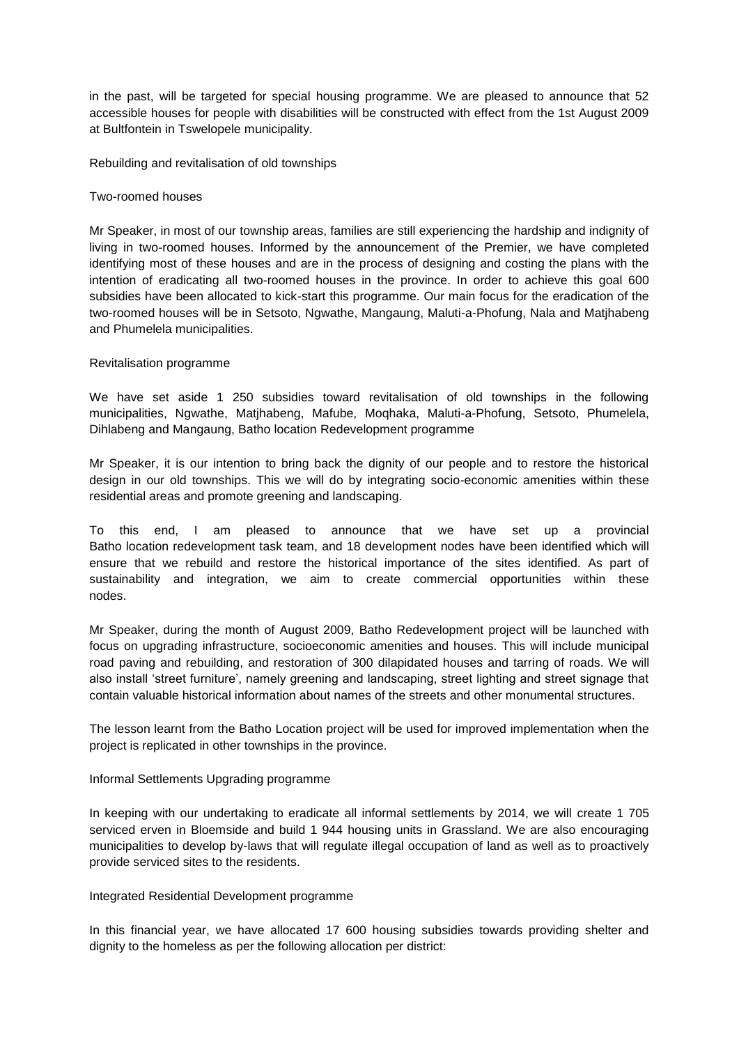in the past, will be targeted for special housing programme. We are pleased to announce that 52 accessible houses for people with disabilities will be constructed with effect from the 1st August 2009 at Bultfontein in Tswelopele municipality.

Rebuilding and revitalisation of old townships

### Two-roomed houses

Mr Speaker, in most of our township areas, families are still experiencing the hardship and indignity of living in two-roomed houses. Informed by the announcement of the Premier, we have completed identifying most of these houses and are in the process of designing and costing the plans with the intention of eradicating all two-roomed houses in the province. In order to achieve this goal 600 subsidies have been allocated to kick-start this programme. Our main focus for the eradication of the two-roomed houses will be in Setsoto, Ngwathe, Mangaung, Maluti-a-Phofung, Nala and Matjhabeng and Phumelela municipalities.

### Revitalisation programme

We have set aside 1 250 subsidies toward revitalisation of old townships in the following municipalities, Ngwathe, Matjhabeng, Mafube, Moqhaka, Maluti-a-Phofung, Setsoto, Phumelela, Dihlabeng and Mangaung, Batho location Redevelopment programme

Mr Speaker, it is our intention to bring back the dignity of our people and to restore the historical design in our old townships. This we will do by integrating socio-economic amenities within these residential areas and promote greening and landscaping.

To this end, I am pleased to announce that we have set up a provincial Batho location redevelopment task team, and 18 development nodes have been identified which will ensure that we rebuild and restore the historical importance of the sites identified. As part of sustainability and integration, we aim to create commercial opportunities within these nodes.

Mr Speaker, during the month of August 2009, Batho Redevelopment project will be launched with focus on upgrading infrastructure, socioeconomic amenities and houses. This will include municipal road paving and rebuilding, and restoration of 300 dilapidated houses and tarring of roads. We will also install "street furniture", namely greening and landscaping, street lighting and street signage that contain valuable historical information about names of the streets and other monumental structures.

The lesson learnt from the Batho Location project will be used for improved implementation when the project is replicated in other townships in the province.

## Informal Settlements Upgrading programme

In keeping with our undertaking to eradicate all informal settlements by 2014, we will create 1 705 serviced erven in Bloemside and build 1 944 housing units in Grassland. We are also encouraging municipalities to develop by-laws that will regulate illegal occupation of land as well as to proactively provide serviced sites to the residents.

#### Integrated Residential Development programme

In this financial year, we have allocated 17 600 housing subsidies towards providing shelter and dignity to the homeless as per the following allocation per district: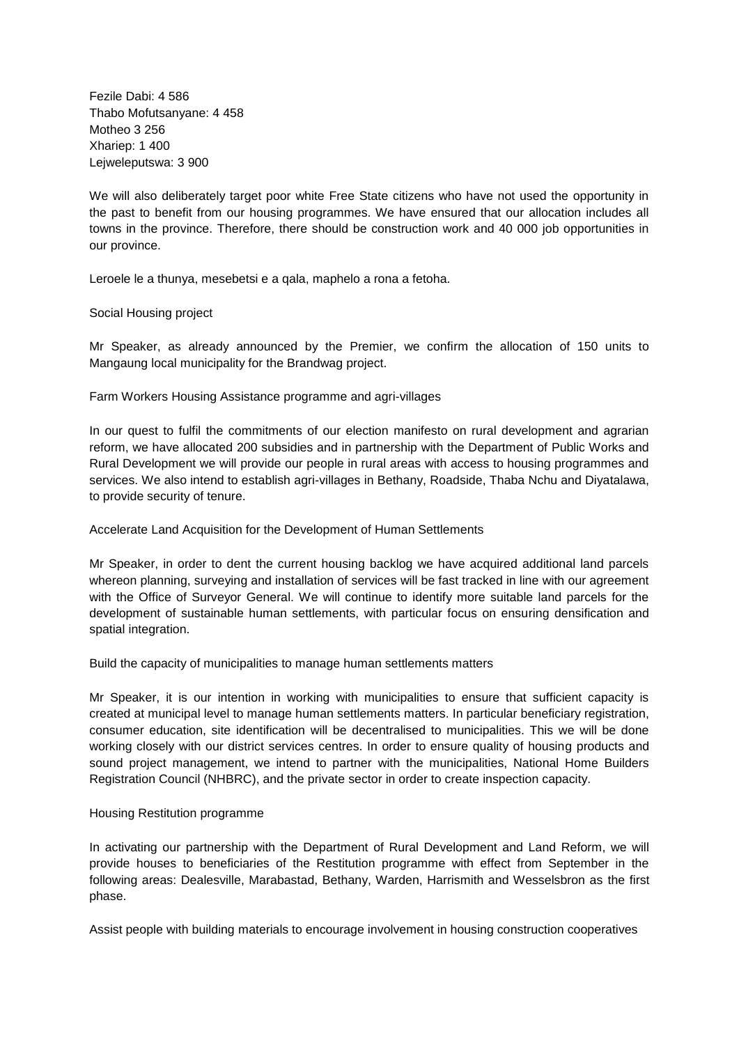Fezile Dabi: 4 586 Thabo Mofutsanyane: 4 458 Motheo 3 256 Xhariep: 1 400 Lejweleputswa: 3 900

We will also deliberately target poor white Free State citizens who have not used the opportunity in the past to benefit from our housing programmes. We have ensured that our allocation includes all towns in the province. Therefore, there should be construction work and 40 000 job opportunities in our province.

Leroele le a thunya, mesebetsi e a qala, maphelo a rona a fetoha.

### Social Housing project

Mr Speaker, as already announced by the Premier, we confirm the allocation of 150 units to Mangaung local municipality for the Brandwag project.

Farm Workers Housing Assistance programme and agri-villages

In our quest to fulfil the commitments of our election manifesto on rural development and agrarian reform, we have allocated 200 subsidies and in partnership with the Department of Public Works and Rural Development we will provide our people in rural areas with access to housing programmes and services. We also intend to establish agri-villages in Bethany, Roadside, Thaba Nchu and Diyatalawa, to provide security of tenure.

## Accelerate Land Acquisition for the Development of Human Settlements

Mr Speaker, in order to dent the current housing backlog we have acquired additional land parcels whereon planning, surveying and installation of services will be fast tracked in line with our agreement with the Office of Surveyor General. We will continue to identify more suitable land parcels for the development of sustainable human settlements, with particular focus on ensuring densification and spatial integration.

Build the capacity of municipalities to manage human settlements matters

Mr Speaker, it is our intention in working with municipalities to ensure that sufficient capacity is created at municipal level to manage human settlements matters. In particular beneficiary registration, consumer education, site identification will be decentralised to municipalities. This we will be done working closely with our district services centres. In order to ensure quality of housing products and sound project management, we intend to partner with the municipalities, National Home Builders Registration Council (NHBRC), and the private sector in order to create inspection capacity.

#### Housing Restitution programme

In activating our partnership with the Department of Rural Development and Land Reform, we will provide houses to beneficiaries of the Restitution programme with effect from September in the following areas: Dealesville, Marabastad, Bethany, Warden, Harrismith and Wesselsbron as the first phase.

Assist people with building materials to encourage involvement in housing construction cooperatives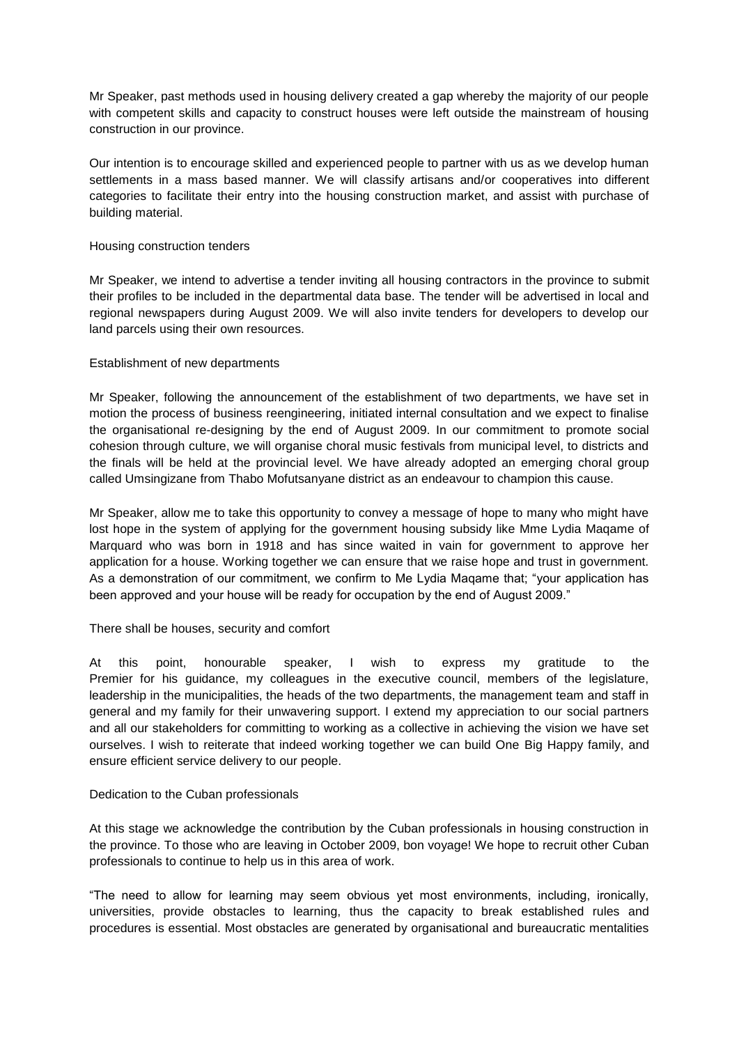Mr Speaker, past methods used in housing delivery created a gap whereby the majority of our people with competent skills and capacity to construct houses were left outside the mainstream of housing construction in our province.

Our intention is to encourage skilled and experienced people to partner with us as we develop human settlements in a mass based manner. We will classify artisans and/or cooperatives into different categories to facilitate their entry into the housing construction market, and assist with purchase of building material.

### Housing construction tenders

Mr Speaker, we intend to advertise a tender inviting all housing contractors in the province to submit their profiles to be included in the departmental data base. The tender will be advertised in local and regional newspapers during August 2009. We will also invite tenders for developers to develop our land parcels using their own resources.

## Establishment of new departments

Mr Speaker, following the announcement of the establishment of two departments, we have set in motion the process of business reengineering, initiated internal consultation and we expect to finalise the organisational re-designing by the end of August 2009. In our commitment to promote social cohesion through culture, we will organise choral music festivals from municipal level, to districts and the finals will be held at the provincial level. We have already adopted an emerging choral group called Umsingizane from Thabo Mofutsanyane district as an endeavour to champion this cause.

Mr Speaker, allow me to take this opportunity to convey a message of hope to many who might have lost hope in the system of applying for the government housing subsidy like Mme Lydia Maqame of Marquard who was born in 1918 and has since waited in vain for government to approve her application for a house. Working together we can ensure that we raise hope and trust in government. As a demonstration of our commitment, we confirm to Me Lydia Maqame that; "your application has been approved and your house will be ready for occupation by the end of August 2009."

## There shall be houses, security and comfort

At this point, honourable speaker, I wish to express my gratitude to the Premier for his guidance, my colleagues in the executive council, members of the legislature, leadership in the municipalities, the heads of the two departments, the management team and staff in general and my family for their unwavering support. I extend my appreciation to our social partners and all our stakeholders for committing to working as a collective in achieving the vision we have set ourselves. I wish to reiterate that indeed working together we can build One Big Happy family, and ensure efficient service delivery to our people.

## Dedication to the Cuban professionals

At this stage we acknowledge the contribution by the Cuban professionals in housing construction in the province. To those who are leaving in October 2009, bon voyage! We hope to recruit other Cuban professionals to continue to help us in this area of work.

"The need to allow for learning may seem obvious yet most environments, including, ironically, universities, provide obstacles to learning, thus the capacity to break established rules and procedures is essential. Most obstacles are generated by organisational and bureaucratic mentalities